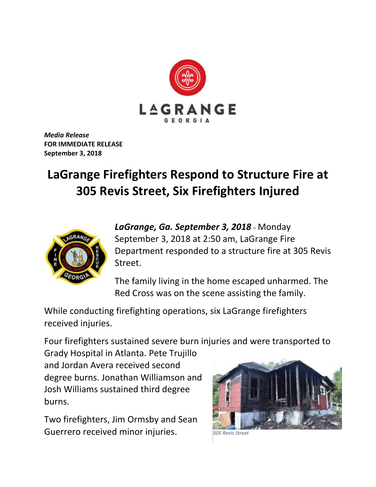

*Media Release* **FOR IMMEDIATE RELEASE September 3, 2018**

## **LaGrange Firefighters Respond to Structure Fire at 305 Revis Street, Six Firefighters Injured**



*LaGrange, Ga. September 3, 2018* – Monday September 3, 2018 at 2:50 am, LaGrange Fire Department responded to a structure fire at 305 Revis Street.

The family living in the home escaped unharmed. The Red Cross was on the scene assisting the family.

While conducting firefighting operations, six LaGrange firefighters received injuries.

Four firefighters sustained severe burn injuries and were transported to

Grady Hospital in Atlanta. Pete Trujillo and Jordan Avera received second degree burns. Jonathan Williamson and Josh Williams sustained third degree burns.

Two firefighters, Jim Ormsby and Sean Guerrero received minor injuries. *305 Revis Street*